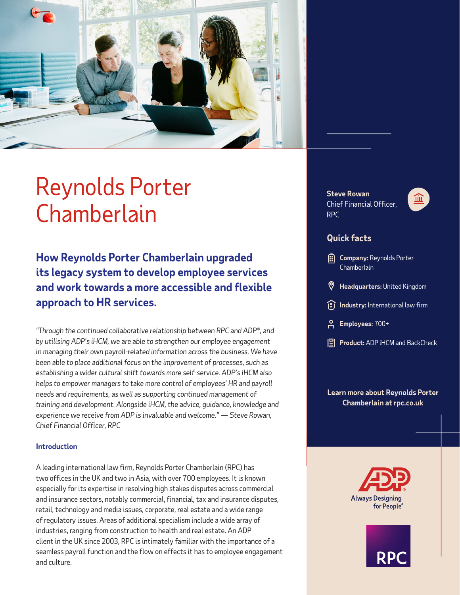

# Reynolds Porter Chamberlain

**How Reynolds Porter Chamberlain upgraded its legacy system to develop employee services and work towards a more accessible and flexible approach to HR services.**

*"Through the continued collaborative relationship between RPC and ADP®, and by utilising ADP's iHCM, we are able to strengthen our employee engagement in managing their own payroll-related information across the business. We have been able to place additional focus on the improvement of processes, such as establishing a wider cultural shift towards more self-service. ADP's iHCM also helps to empower managers to take more control of employees' HR and payroll needs and requirements, as well as supporting continued management of training and development. Alongside iHCM, the advice, guidance, knowledge and experience we receive from ADP is invaluable and welcome." — Steve Rowan, Chief Financial Officer, RPC*

## **Introduction**

A leading international law firm, Reynolds Porter Chamberlain (RPC) has two offices in the UK and two in Asia, with over 700 employees. It is known especially for its expertise in resolving high stakes disputes across commercial and insurance sectors, notably commercial, financial, tax and insurance disputes, retail, technology and media issues, corporate, real estate and a wide range of regulatory issues. Areas of additional specialism include a wide array of industries, ranging from construction to health and real estate. An ADP client in the UK since 2003, RPC is intimately familiar with the importance of a seamless payroll function and the flow on effects it has to employee engagement and culture.

**Steve Rowan** Chief Financial Officer, RPC



## **Quick facts**

- **Company:** Reynolds Porter **Chamberlain**
- **Headquarters:** United Kingdom
- **Industry:** International law firm
- **Employees:** 700+
- **Product:** ADP iHCM and BackCheck

## **Learn more about Reynolds Porter Chamberlain [at rpc.co.uk](https://www.rpc.co.uk/)**



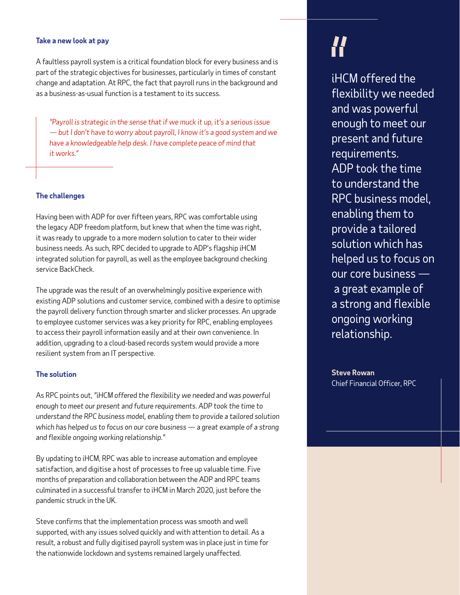#### **Take a new look at pay**

A faultless payroll system is a critical foundation block for every business and is part of the strategic objectives for businesses, particularly in times of constant change and adaptation. At RPC, the fact that payroll runs in the background and as a business-as-usual function is a testament to its success.

*"Payroll is strategic in the sense that if we muck it up, it's a serious issue — but I don't have to worry about payroll, I know it's a good system and we have a knowledgeable help desk. I have complete peace of mind that it works."*

#### **The challenges**

Having been with ADP for over fifteen years, RPC was comfortable using the legacy ADP freedom platform, but knew that when the time was right, it was ready to upgrade to a more modern solution to cater to their wider business needs. As such, RPC decided to upgrade to ADP's flagship iHCM integrated solution for payroll, as well as the employee background checking service BackCheck.

The upgrade was the result of an overwhelmingly positive experience with existing ADP solutions and customer service, combined with a desire to optimise the payroll delivery function through smarter and slicker processes. An upgrade to employee customer services was a key priority for RPC, enabling employees to access their payroll information easily and at their own convenience. In addition, upgrading to a cloud-based records system would provide a more resilient system from an IT perspective.

#### **The solution**

As RPC points out, *"iHCM offered the flexibility we needed and was powerful enough to meet our present and future requirements. ADP took the time to understand the RPC business model, enabling them to provide a tailored solution which has helped us to focus on our core business — a great example of a strong and flexible ongoing working relationship."*

By updating to iHCM, RPC was able to increase automation and employee satisfaction, and digitise a host of processes to free up valuable time. Five months of preparation and collaboration between the ADP and RPC teams culminated in a successful transfer to iHCM in March 2020, just before the pandemic struck in the UK.

Steve confirms that the implementation process was smooth and well supported, with any issues solved quickly and with attention to detail. As a result, a robust and fully digitised payroll system was in place just in time for the nationwide lockdown and systems remained largely unaffected.

iHCM offered the flexibility we needed and was powerful enough to meet our present and future requirements. ADP took the time to understand the RPC business model, enabling them to provide a tailored solution which has helped us to focus on our core business a great example of a strong and flexible ongoing working relationship.

**Steve Rowan** Chief Financial Officer, RPC